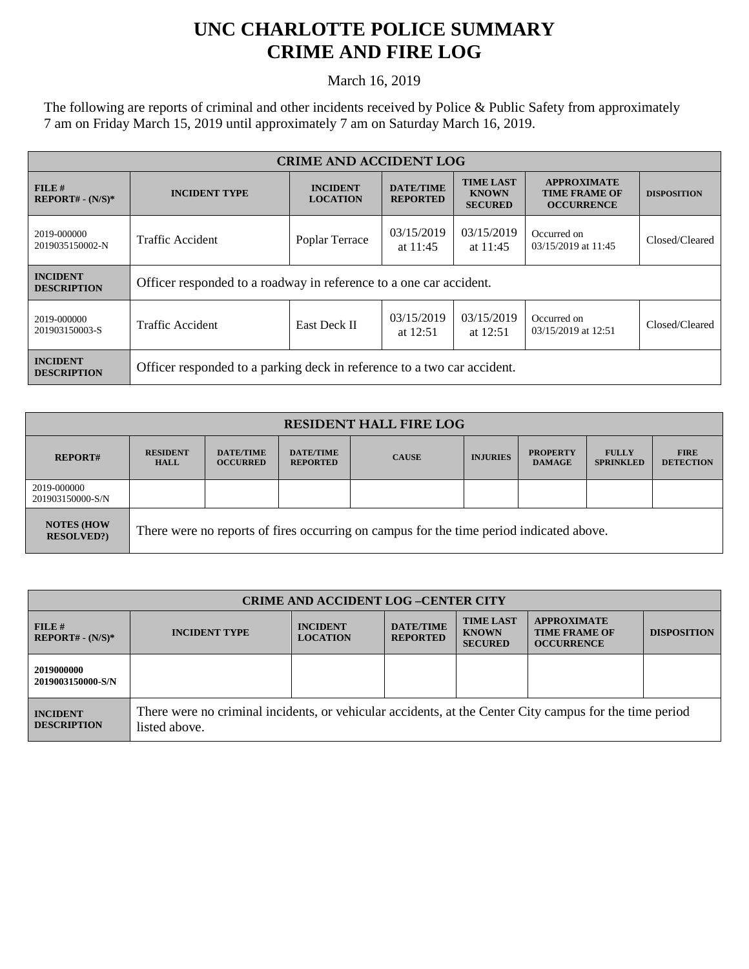## **UNC CHARLOTTE POLICE SUMMARY CRIME AND FIRE LOG**

March 16, 2019

The following are reports of criminal and other incidents received by Police & Public Safety from approximately 7 am on Friday March 15, 2019 until approximately 7 am on Saturday March 16, 2019.

| <b>CRIME AND ACCIDENT LOG</b>         |                                                                         |                                    |                                     |                                                    |                                                                 |                    |
|---------------------------------------|-------------------------------------------------------------------------|------------------------------------|-------------------------------------|----------------------------------------------------|-----------------------------------------------------------------|--------------------|
| FILE#<br>$REPORT# - (N/S)*$           | <b>INCIDENT TYPE</b>                                                    | <b>INCIDENT</b><br><b>LOCATION</b> | <b>DATE/TIME</b><br><b>REPORTED</b> | <b>TIME LAST</b><br><b>KNOWN</b><br><b>SECURED</b> | <b>APPROXIMATE</b><br><b>TIME FRAME OF</b><br><b>OCCURRENCE</b> | <b>DISPOSITION</b> |
| 2019-000000<br>2019035150002-N        | <b>Traffic Accident</b>                                                 | Poplar Terrace                     | 03/15/2019<br>at $11:45$            | 03/15/2019<br>at $11:45$                           | Occurred on<br>03/15/2019 at 11:45                              | Closed/Cleared     |
| <b>INCIDENT</b><br><b>DESCRIPTION</b> | Officer responded to a roadway in reference to a one car accident.      |                                    |                                     |                                                    |                                                                 |                    |
| 2019-000000<br>201903150003-S         | <b>Traffic Accident</b>                                                 | East Deck II                       | 03/15/2019<br>at $12:51$            | 03/15/2019<br>at $12:51$                           | Occurred on<br>03/15/2019 at 12:51                              | Closed/Cleared     |
| <b>INCIDENT</b><br><b>DESCRIPTION</b> | Officer responded to a parking deck in reference to a two car accident. |                                    |                                     |                                                    |                                                                 |                    |

| <b>RESIDENT HALL FIRE LOG</b>         |                                                                                         |                                     |                                     |              |                 |                                  |                                  |                                 |
|---------------------------------------|-----------------------------------------------------------------------------------------|-------------------------------------|-------------------------------------|--------------|-----------------|----------------------------------|----------------------------------|---------------------------------|
| <b>REPORT#</b>                        | <b>RESIDENT</b><br><b>HALL</b>                                                          | <b>DATE/TIME</b><br><b>OCCURRED</b> | <b>DATE/TIME</b><br><b>REPORTED</b> | <b>CAUSE</b> | <b>INJURIES</b> | <b>PROPERTY</b><br><b>DAMAGE</b> | <b>FULLY</b><br><b>SPRINKLED</b> | <b>FIRE</b><br><b>DETECTION</b> |
| 2019-000000<br>201903150000-S/N       |                                                                                         |                                     |                                     |              |                 |                                  |                                  |                                 |
| <b>NOTES (HOW</b><br><b>RESOLVED?</b> | There were no reports of fires occurring on campus for the time period indicated above. |                                     |                                     |              |                 |                                  |                                  |                                 |

| <b>CRIME AND ACCIDENT LOG-CENTER CITY</b> |                                                                                                                          |                                    |                                     |                                                    |                                                                 |                    |
|-------------------------------------------|--------------------------------------------------------------------------------------------------------------------------|------------------------------------|-------------------------------------|----------------------------------------------------|-----------------------------------------------------------------|--------------------|
| FILE#<br>$REPORT# - (N/S)*$               | <b>INCIDENT TYPE</b>                                                                                                     | <b>INCIDENT</b><br><b>LOCATION</b> | <b>DATE/TIME</b><br><b>REPORTED</b> | <b>TIME LAST</b><br><b>KNOWN</b><br><b>SECURED</b> | <b>APPROXIMATE</b><br><b>TIME FRAME OF</b><br><b>OCCURRENCE</b> | <b>DISPOSITION</b> |
| 2019000000<br>2019003150000-S/N           |                                                                                                                          |                                    |                                     |                                                    |                                                                 |                    |
| <b>INCIDENT</b><br><b>DESCRIPTION</b>     | There were no criminal incidents, or vehicular accidents, at the Center City campus for the time period<br>listed above. |                                    |                                     |                                                    |                                                                 |                    |